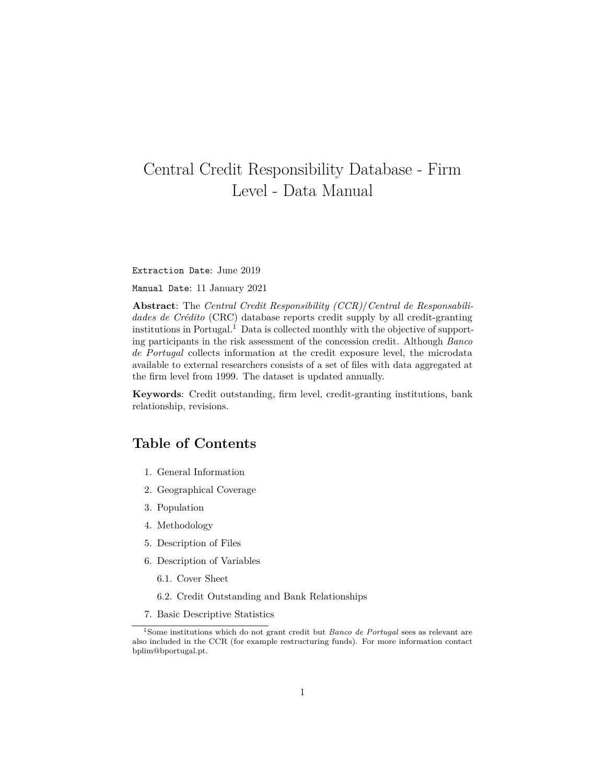# <span id="page-0-1"></span>Central Credit Responsibility Database - Firm Level - Data Manual

Extraction Date: June 2019

Manual Date: 11 January 2021

**Abstract**: The *Central Credit Responsibility (CCR)*/*Central de Responsabilidades de Crédito* (CRC) database reports credit supply by all credit-granting institutions in Portugal.<sup>[1](#page-0-0)</sup> Data is collected monthly with the objective of supporting participants in the risk assessment of the concession credit. Although *Banco de Portugal* collects information at the credit exposure level, the microdata available to external researchers consists of a set of files with data aggregated at the firm level from 1999. The dataset is updated annually.

**Keywords**: Credit outstanding, firm level, credit-granting institutions, bank relationship, revisions.

### **Table of Contents**

- 1. [General Information](#page-1-0)
- 2. [Geographical Coverage](#page-1-1)
- 3. [Population](#page-2-0)
- 4. [Methodology](#page-2-1)
- 5. [Description of Files](#page-3-0)
- 6. [Description of Variables](#page-4-0)
	- 6.1. [Cover Sheet](#page-4-1)
	- 6.2. [Credit Outstanding and Bank Relationships](#page-6-0)
- <span id="page-0-0"></span>7. [Basic Descriptive Statistics](#page-13-0)

<sup>1</sup>Some institutions which do not grant credit but *Banco de Portugal* sees as relevant are also included in the CCR (for example restructuring funds). For more information contact bplim@bportugal.pt.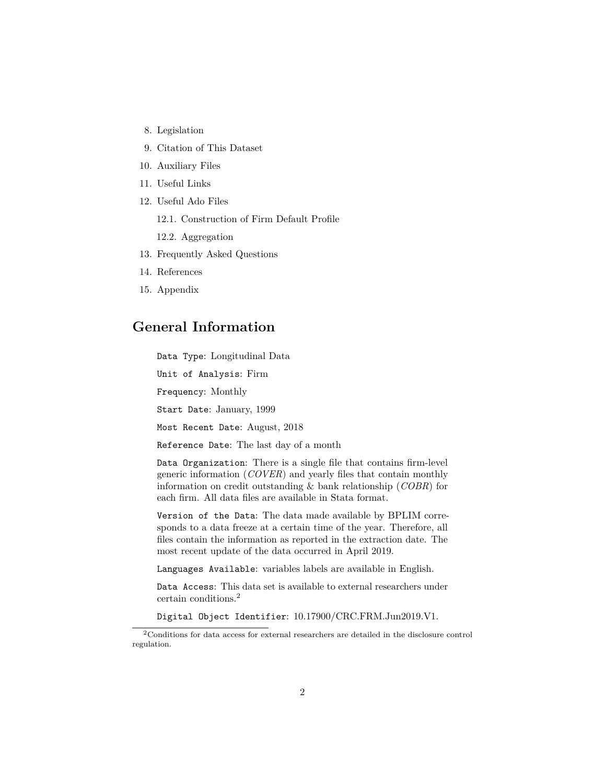- 8. [Legislation](#page-13-1)
- 9. [Citation of This Dataset](#page-15-0)
- 10. [Auxiliary Files](#page-15-1)
- 11. [Useful Links](#page-16-0)
- 12. [Useful Ado Files](#page-16-1)
	- 12.1. [Construction of Firm Default Profile](#page-0-1)
	- 12.2. [Aggregation](#page-0-1)
- 13. [Frequently Asked Questions](#page-17-0)
- 14. [References](#page-17-1)
- <span id="page-1-0"></span>15. [Appendix](#page-18-0)

### **General Information**

Data Type: Longitudinal Data

Unit of Analysis: Firm

Frequency: Monthly

Start Date: January, 1999

Most Recent Date: August, 2018

Reference Date: The last day of a month

Data Organization: There is a single file that contains firm-level generic information (*COVER*) and yearly files that contain monthly information on credit outstanding & bank relationship (*COBR*) for each firm. All data files are available in Stata format.

Version of the Data: The data made available by BPLIM corresponds to a data freeze at a certain time of the year. Therefore, all files contain the information as reported in the extraction date. The most recent update of the data occurred in April 2019.

Languages Available: variables labels are available in English.

Data Access: This data set is available to external researchers under certain conditions.[2](#page-1-2)

Digital Object Identifier: 10.17900/CRC.FRM.Jun2019.V1.

<span id="page-1-2"></span><span id="page-1-1"></span><sup>2</sup>Conditions for data access for external researchers are detailed in the disclosure control regulation.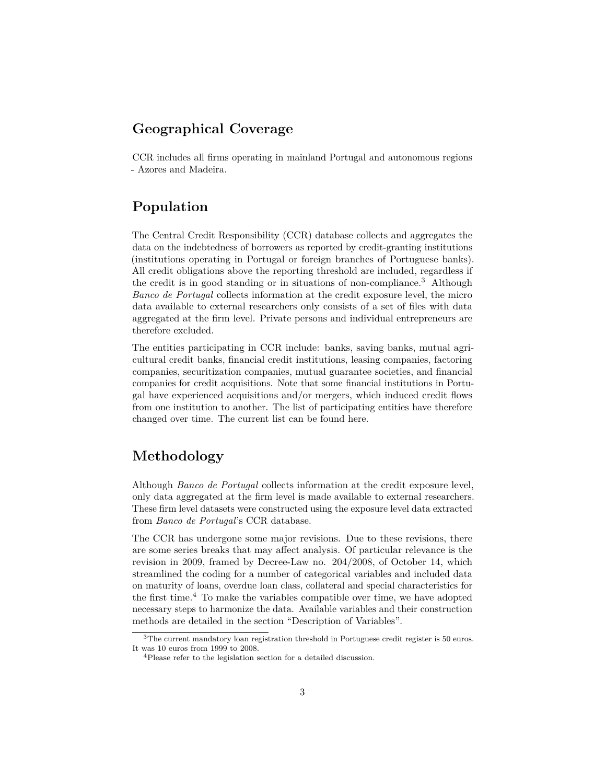# **Geographical Coverage**

<span id="page-2-0"></span>CCR includes all firms operating in mainland Portugal and autonomous regions - Azores and Madeira.

### **Population**

The Central Credit Responsibility (CCR) database collects and aggregates the data on the indebtedness of borrowers as reported by credit-granting institutions (institutions operating in Portugal or foreign branches of Portuguese banks). All credit obligations above the reporting threshold are included, regardless if the credit is in good standing or in situations of non-compliance.[3](#page-2-2) Although *Banco de Portugal* collects information at the credit exposure level, the micro data available to external researchers only consists of a set of files with data aggregated at the firm level. Private persons and individual entrepreneurs are therefore excluded.

The entities participating in CCR include: banks, saving banks, mutual agricultural credit banks, financial credit institutions, leasing companies, factoring companies, securitization companies, mutual guarantee societies, and financial companies for credit acquisitions. Note that some financial institutions in Portugal have experienced acquisitions and/or mergers, which induced credit flows from one institution to another. The list of participating entities have therefore changed over time. The current list can be found [here.](https://www.bportugal.pt/sites/default/files/crc_lista_entidades.pdf)

# <span id="page-2-1"></span>**Methodology**

Although *Banco de Portugal* collects information at the credit exposure level, only data aggregated at the firm level is made available to external researchers. These firm level datasets were constructed using the exposure level data extracted from *Banco de Portugal*'s CCR database.

The CCR has undergone some major revisions. Due to these revisions, there are some series breaks that may affect analysis. Of particular relevance is the revision in 2009, framed by Decree-Law no. 204/2008, of October 14, which streamlined the coding for a number of categorical variables and included data on maturity of loans, overdue loan class, collateral and special characteristics for the first time.[4](#page-2-3) To make the variables compatible over time, we have adopted necessary steps to harmonize the data. Available variables and their construction methods are detailed in the section ["Description of Variables".](#page-4-0)

<span id="page-2-2"></span><sup>&</sup>lt;sup>3</sup>The current mandatory loan registration threshold in Portuguese credit register is 50 euros. It was 10 euros from 1999 to 2008.

<span id="page-2-3"></span><sup>4</sup>Please refer to the legislation section for a detailed discussion.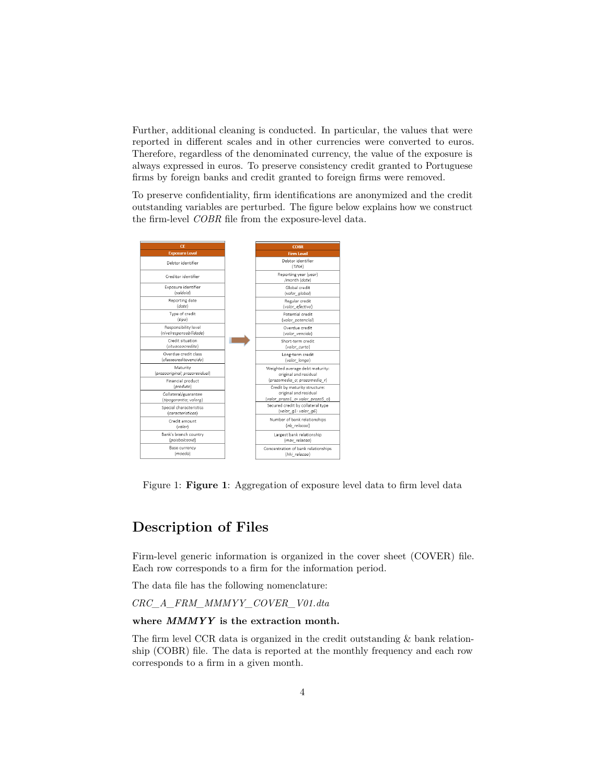Further, additional cleaning is conducted. In particular, the values that were reported in different scales and in other currencies were converted to euros. Therefore, regardless of the denominated currency, the value of the exposure is always expressed in euros. To preserve consistency credit granted to Portuguese firms by foreign banks and credit granted to foreign firms were removed.

To preserve confidentiality, firm identifications are anonymized and the credit outstanding variables are perturbed. The figure below explains how we construct the firm-level *COBR* file from the exposure-level data.

| CE                                                          | <b>COBR</b>                                                                               |
|-------------------------------------------------------------|-------------------------------------------------------------------------------------------|
| <b>Exposure Level</b>                                       | <b>Firm Level</b>                                                                         |
| Debtor identifier                                           | Debtor identifier<br>(TINA)                                                               |
| Creditor identifier                                         | Reporting year (year)<br>/month (date)                                                    |
| Exposure identifier<br>(saldoid)                            | Global credit<br>(valor global)                                                           |
| Reporting date<br>(date)                                    | Regular credit<br>(valor efectivo)                                                        |
| Type of credit<br>(tipo)                                    | Potential credit<br>(valor potencial)                                                     |
| Responsibility level<br>(nivelresponsabilidade)             | Overdue credit<br>(valor vencido)                                                         |
| Credit situation<br>(situacaocredito)                       | Short-term credit<br>(valor curto)                                                        |
| Overdue credit class<br>(classecreditovencido)              | Long-term credit<br>(valor_longo)                                                         |
| Maturity<br>(prazooriginal: prazoresidual)                  | Weighted average debt maturity:<br>original and residual                                  |
| Financial product                                           | (prazomedia o; prazomedia r)                                                              |
| (produto)<br>Collateral/guarantee<br>(tipogarantia; valorg) | Credit by maturity structure:<br>original and residual<br>(valor prazo1 o-valor prazo5 o) |
| Special characteristics<br>(caracteristicas)                | Secured credit by collateral type<br>(valor g1-valor g6)                                  |
| Credit amount<br>(valor)                                    | Number of bank relationships<br>(nb relacao)                                              |
| Bank's branch country<br>(paisbalcaoid)                     | Largest bank relationship<br>(max relacao)                                                |
| Base currency<br>(moeda)                                    | Concentration of bank relationships<br>(hhi relacao)                                      |

<span id="page-3-0"></span>Figure 1: **Figure 1**: Aggregation of exposure level data to firm level data

# **Description of Files**

Firm-level generic information is organized in the cover sheet (COVER) file. Each row corresponds to a firm for the information period.

The data file has the following nomenclature:

*CRC\_A\_FRM\_MMMYY\_COVER\_V01.dta*

#### **where** *MMMYY* **is the extraction month.**

The firm level CCR data is organized in the credit outstanding & bank relationship (COBR) file. The data is reported at the monthly frequency and each row corresponds to a firm in a given month.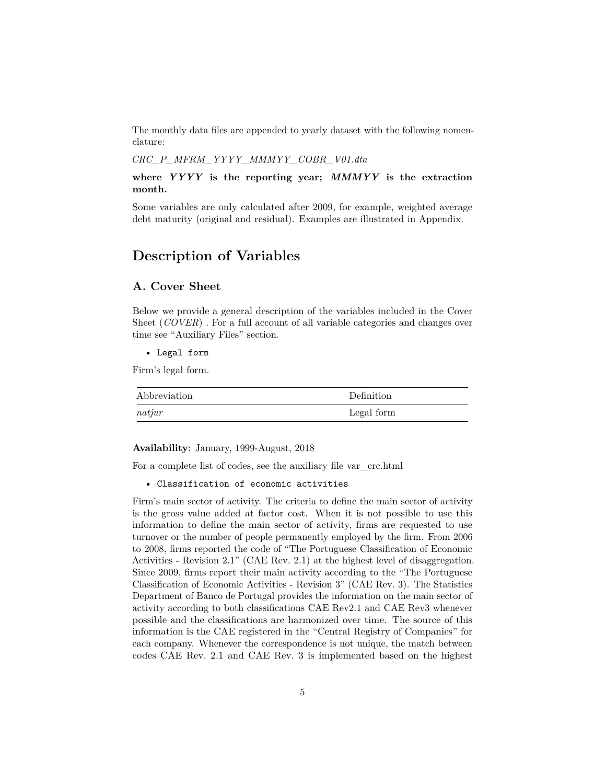The monthly data files are appended to yearly dataset with the following nomenclature:

*CRC\_P\_MFRM\_YYYY\_MMMYY\_COBR\_V01.dta*

**where** *YYYY* **is the reporting year;** *MMMYY* **is the extraction month.**

<span id="page-4-0"></span>Some variables are only calculated after 2009, for example, weighted average debt maturity (original and residual). Examples are illustrated in Appendix.

### **Description of Variables**

#### <span id="page-4-1"></span>**A. Cover Sheet**

Below we provide a general description of the variables included in the Cover Sheet (*COVER*). For a full account of all variable categories and changes over time see ["Auxiliary Files" section.](#page-15-1)

• Legal form

Firm's legal form.

| Abbreviation | <b>Definition</b> |
|--------------|-------------------|
| natjur       | Legal form        |

**Availability**: January, 1999-August, 2018

For a complete list of codes, see the auxiliary file [var\\_crc.html](./aux_files/variables_description/var_crc.html)

• Classification of economic activities

Firm's main sector of activity. The criteria to define the main sector of activity is the gross value added at factor cost. When it is not possible to use this information to define the main sector of activity, firms are requested to use turnover or the number of people permanently employed by the firm. From 2006 to 2008, firms reported the code of "The Portuguese Classification of Economic Activities - Revision 2.1" (CAE Rev. 2.1) at the highest level of disaggregation. Since 2009, firms report their main activity according to the "The Portuguese Classification of Economic Activities - Revision 3" (CAE Rev. 3). The Statistics Department of Banco de Portugal provides the information on the main sector of activity according to both classifications CAE Rev2.1 and CAE Rev3 whenever possible and the classifications are harmonized over time. The source of this information is the CAE registered in the "Central Registry of Companies" for each company. Whenever the correspondence is not unique, the match between codes CAE Rev. 2.1 and CAE Rev. 3 is implemented based on the highest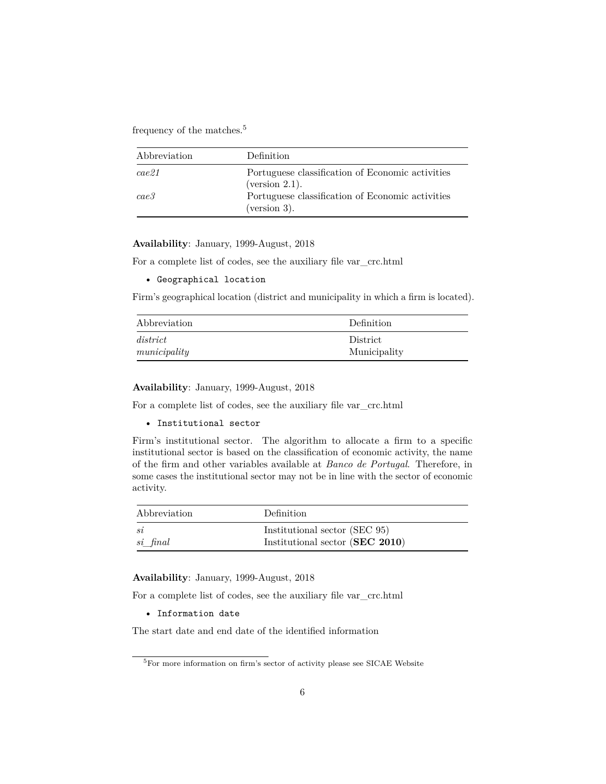frequency of the matches.<sup>[5](#page-5-0)</sup>

| Abbreviation | Definition                                                            |
|--------------|-----------------------------------------------------------------------|
| cae21        | Portuguese classification of Economic activities<br>(version $2.1$ ). |
| case3        | Portuguese classification of Economic activities<br>(version 3).      |

**Availability**: January, 1999-August, 2018

For a complete list of codes, see the auxiliary file [var\\_crc.html](./aux_files/variables_description/var_crc.html)

```
• Geographical location
```
Firm's geographical location (district and municipality in which a firm is located).

| Abbreviation | <b>Definition</b> |
|--------------|-------------------|
| district     | District          |
| municipality | Municipality      |

**Availability**: January, 1999-August, 2018

For a complete list of codes, see the auxiliary file [var\\_crc.html](./aux_files/variables_description/var_crc.html)

```
• Institutional sector
```
Firm's institutional sector. The algorithm to allocate a firm to a specific institutional sector is based on the classification of economic activity, the name of the firm and other variables available at *Banco de Portugal*. Therefore, in some cases the institutional sector may not be in line with the sector of economic activity.

| Abbreviation | <b>Definition</b>               |
|--------------|---------------------------------|
| si           | Institutional sector (SEC 95)   |
| si final     | Institutional sector (SEC 2010) |

**Availability**: January, 1999-August, 2018

For a complete list of codes, see the auxiliary file [var\\_crc.html](./aux_files/variables_description/var_crc.html)

• Information date

The start date and end date of the identified information

<span id="page-5-0"></span> $^{5}$  For more information on firm's sector of activity please see [SICAE Website](http://www.sicae.pt/Default.aspx)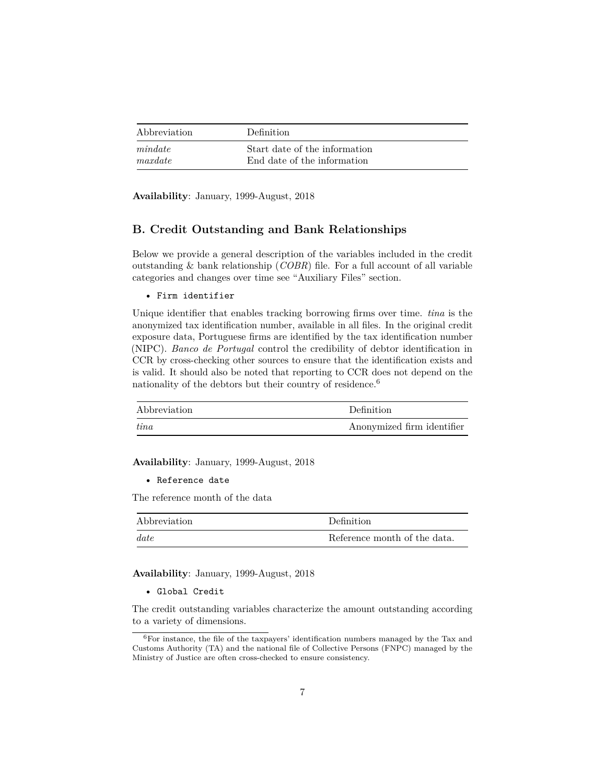| Abbreviation | <b>Definition</b>             |
|--------------|-------------------------------|
| mindate      | Start date of the information |
| maxdate      | End date of the information   |

<span id="page-6-0"></span>**Availability**: January, 1999-August, 2018

#### **B. Credit Outstanding and Bank Relationships**

Below we provide a general description of the variables included in the credit outstanding & bank relationship (*COBR*) file. For a full account of all variable categories and changes over time see ["Auxiliary Files" section.](#page-15-1)

• Firm identifier

Unique identifier that enables tracking borrowing firms over time. *tina* is the anonymized tax identification number, available in all files. In the original credit exposure data, Portuguese firms are identified by the tax identification number (NIPC). *Banco de Portugal* control the credibility of debtor identification in CCR by cross-checking other sources to ensure that the identification exists and is valid. It should also be noted that reporting to CCR does not depend on the nationality of the debtors but their country of residence.<sup>[6](#page-6-1)</sup>

| Abbreviation | Definition                 |
|--------------|----------------------------|
| tina         | Anonymized firm identifier |

**Availability**: January, 1999-August, 2018

• Reference date

The reference month of the data

| Abbreviation | Definition                   |
|--------------|------------------------------|
| date         | Reference month of the data. |

**Availability**: January, 1999-August, 2018

• Global Credit

The credit outstanding variables characterize the amount outstanding according to a variety of dimensions.

<span id="page-6-1"></span> ${}^{6}$ For instance, the file of the taxpayers' identification numbers managed by the Tax and Customs Authority (TA) and the national file of Collective Persons (FNPC) managed by the Ministry of Justice are often cross-checked to ensure consistency.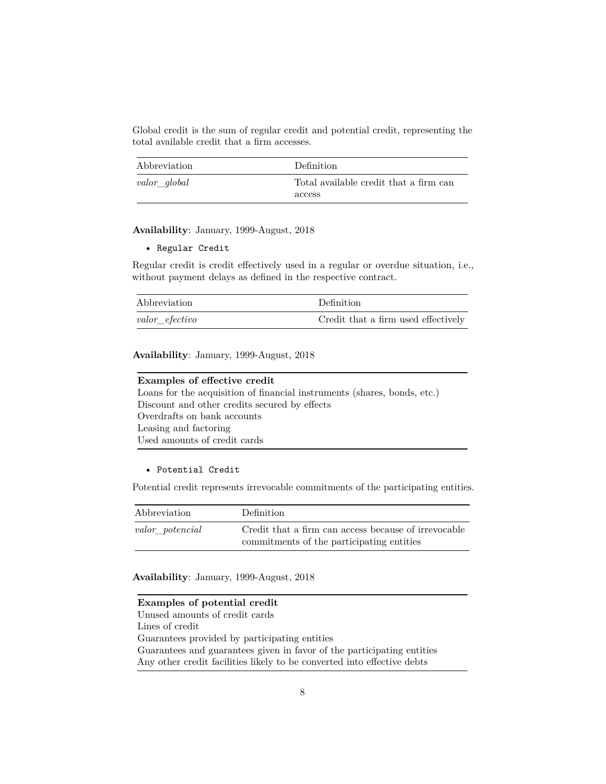Global credit is the sum of regular credit and potential credit, representing the total available credit that a firm accesses.

| Abbreviation | Definition                             |
|--------------|----------------------------------------|
| valor global | Total available credit that a firm can |
|              | access                                 |

**Availability**: January, 1999-August, 2018

• Regular Credit

Regular credit is credit effectively used in a regular or overdue situation, i.e., without payment delays as defined in the respective contract.

| Abbreviation       | Definition                          |
|--------------------|-------------------------------------|
| $valor\_effective$ | Credit that a firm used effectively |

**Availability**: January, 1999-August, 2018

| Examples of effective credit                                             |
|--------------------------------------------------------------------------|
| Loans for the acquisition of financial instruments (shares, bonds, etc.) |
| Discount and other credits secured by effects                            |
| Overdrafts on bank accounts                                              |
| Leasing and factoring                                                    |
| Used amounts of credit cards                                             |

#### • Potential Credit

Potential credit represents irrevocable commitments of the participating entities.

| Abbreviation    | Definition                                                                                        |
|-----------------|---------------------------------------------------------------------------------------------------|
| valor potencial | Credit that a firm can access because of irrevocable<br>commitments of the participating entities |

**Availability**: January, 1999-August, 2018

**Examples of potential credit** Unused amounts of credit cards Lines of credit Guarantees provided by participating entities Guarantees and guarantees given in favor of the participating entities Any other credit facilities likely to be converted into effective debts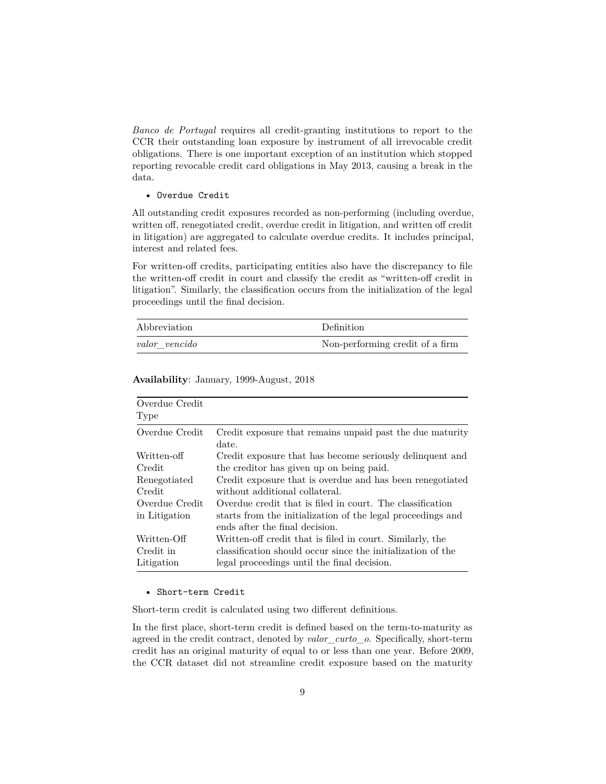*Banco de Portugal* requires all credit-granting institutions to report to the CCR their outstanding loan exposure by instrument of all irrevocable credit obligations. There is one important exception of an institution which stopped reporting revocable credit card obligations in May 2013, causing a break in the data.

#### • Overdue Credit

All outstanding credit exposures recorded as non-performing (including overdue, written off, renegotiated credit, overdue credit in litigation, and written off credit in litigation) are aggregated to calculate overdue credits. It includes principal, interest and related fees.

For written-off credits, participating entities also have the discrepancy to file the written-off credit in court and classify the credit as "written-off credit in litigation". Similarly, the classification occurs from the initialization of the legal proceedings until the final decision.

| Abbreviation  | Definition                      |
|---------------|---------------------------------|
| valor vencido | Non-performing credit of a firm |

| Overdue Credit<br>Type |                                                             |
|------------------------|-------------------------------------------------------------|
| Overdue Credit         | Credit exposure that remains unpaid past the due maturity   |
|                        | date.                                                       |
| Written-off            | Credit exposure that has become seriously delinquent and    |
| Credit                 | the creditor has given up on being paid.                    |
| Renegotiated           | Credit exposure that is overdue and has been renegotiated   |
| Credit                 | without additional collateral.                              |
| Overdue Credit         | Overdue credit that is filed in court. The classification   |
| in Litigation          | starts from the initialization of the legal proceedings and |
|                        | ends after the final decision.                              |
| Written-Off            | Written-off credit that is filed in court. Similarly, the   |
| Credit in              | classification should occur since the initialization of the |
| Litigation             | legal proceedings until the final decision.                 |

**Availability**: January, 1999-August, 2018

#### • Short-term Credit

Short-term credit is calculated using two different definitions.

In the first place, short-term credit is defined based on the term-to-maturity as agreed in the credit contract, denoted by *valor\_curto\_o*. Specifically, short-term credit has an original maturity of equal to or less than one year. Before 2009, the CCR dataset did not streamline credit exposure based on the maturity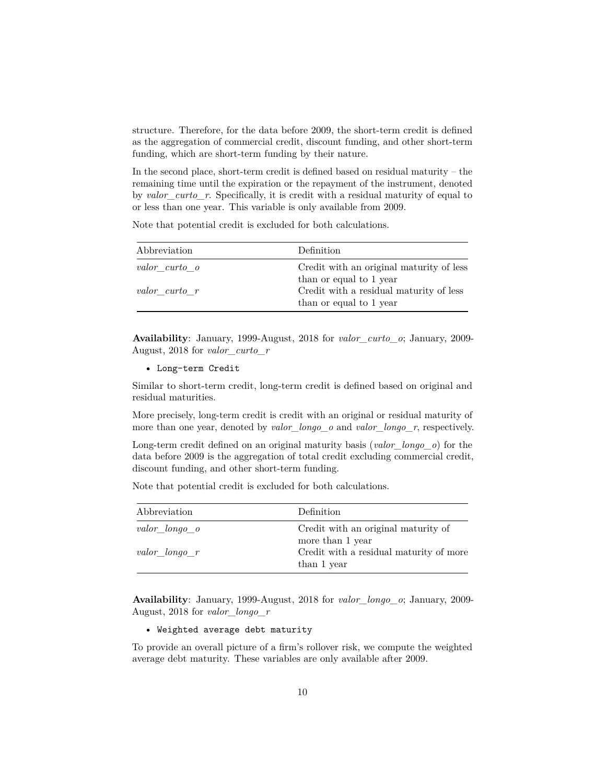structure. Therefore, for the data before 2009, the short-term credit is defined as the aggregation of commercial credit, discount funding, and other short-term funding, which are short-term funding by their nature.

In the second place, short-term credit is defined based on residual maturity – the remaining time until the expiration or the repayment of the instrument, denoted by *valor\_curto\_r*. Specifically, it is credit with a residual maturity of equal to or less than one year. This variable is only available from 2009.

Note that potential credit is excluded for both calculations.

| Abbreviation  | Definition                               |
|---------------|------------------------------------------|
| valor curto o | Credit with an original maturity of less |
|               | than or equal to 1 year                  |
| valor curto r | Credit with a residual maturity of less  |
|               | than or equal to 1 year                  |

**Availability**: January, 1999-August, 2018 for *valor\_curto\_o*; January, 2009- August, 2018 for *valor\_curto\_r*

```
• Long-term Credit
```
Similar to short-term credit, long-term credit is defined based on original and residual maturities.

More precisely, long-term credit is credit with an original or residual maturity of more than one year, denoted by *valor\_longo\_o* and *valor\_longo\_r*, respectively.

Long-term credit defined on an original maturity basis (*valor\_longo\_o*) for the data before 2009 is the aggregation of total credit excluding commercial credit, discount funding, and other short-term funding.

Note that potential credit is excluded for both calculations.

| Abbreviation  | Definition                              |
|---------------|-----------------------------------------|
| valor longo o | Credit with an original maturity of     |
|               | more than 1 year                        |
| valor longo r | Credit with a residual maturity of more |
|               | than 1 year                             |

**Availability**: January, 1999-August, 2018 for *valor\_longo\_o*; January, 2009- August, 2018 for *valor\_longo\_r*

• Weighted average debt maturity

To provide an overall picture of a firm's rollover risk, we compute the weighted average debt maturity. These variables are only available after 2009.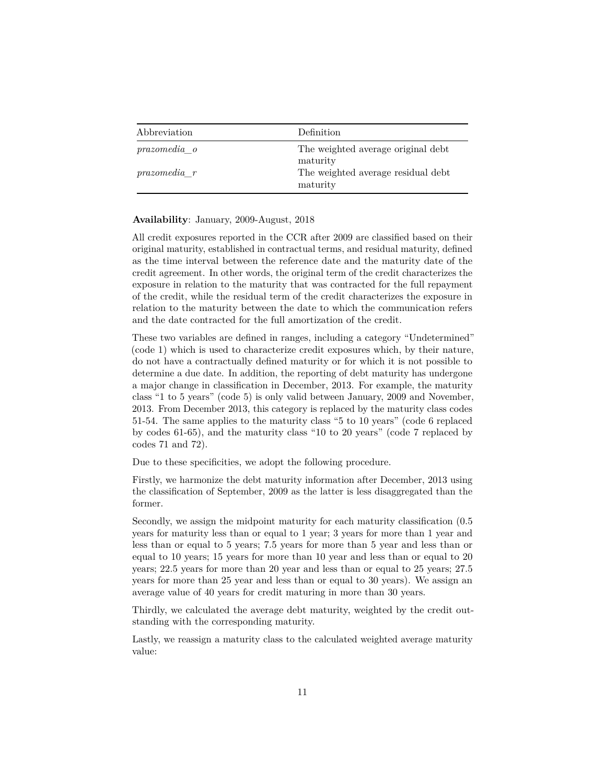| Abbreviation     | Definition                                     |
|------------------|------------------------------------------------|
| prazomedia o     | The weighted average original debt<br>maturity |
| $prazomedia$ $r$ | The weighted average residual debt<br>maturity |

#### **Availability**: January, 2009-August, 2018

All credit exposures reported in the CCR after 2009 are classified based on their original maturity, established in contractual terms, and residual maturity, defined as the time interval between the reference date and the maturity date of the credit agreement. In other words, the original term of the credit characterizes the exposure in relation to the maturity that was contracted for the full repayment of the credit, while the residual term of the credit characterizes the exposure in relation to the maturity between the date to which the communication refers and the date contracted for the full amortization of the credit.

These two variables are defined in ranges, including a category "Undetermined" (code 1) which is used to characterize credit exposures which, by their nature, do not have a contractually defined maturity or for which it is not possible to determine a due date. In addition, the reporting of debt maturity has undergone a major change in classification in December, 2013. For example, the maturity class "1 to 5 years" (code 5) is only valid between January, 2009 and November, 2013. From December 2013, this category is replaced by the maturity class codes 51-54. The same applies to the maturity class "5 to 10 years" (code 6 replaced by codes 61-65), and the maturity class "10 to 20 years" (code 7 replaced by codes 71 and 72).

Due to these specificities, we adopt the following procedure.

Firstly, we harmonize the debt maturity information after December, 2013 using the classification of September, 2009 as the latter is less disaggregated than the former.

Secondly, we assign the midpoint maturity for each maturity classification (0.5 years for maturity less than or equal to 1 year; 3 years for more than 1 year and less than or equal to 5 years; 7.5 years for more than 5 year and less than or equal to 10 years; 15 years for more than 10 year and less than or equal to 20 years; 22.5 years for more than 20 year and less than or equal to 25 years; 27.5 years for more than 25 year and less than or equal to 30 years). We assign an average value of 40 years for credit maturing in more than 30 years.

Thirdly, we calculated the average debt maturity, weighted by the credit outstanding with the corresponding maturity.

Lastly, we reassign a maturity class to the calculated weighted average maturity value: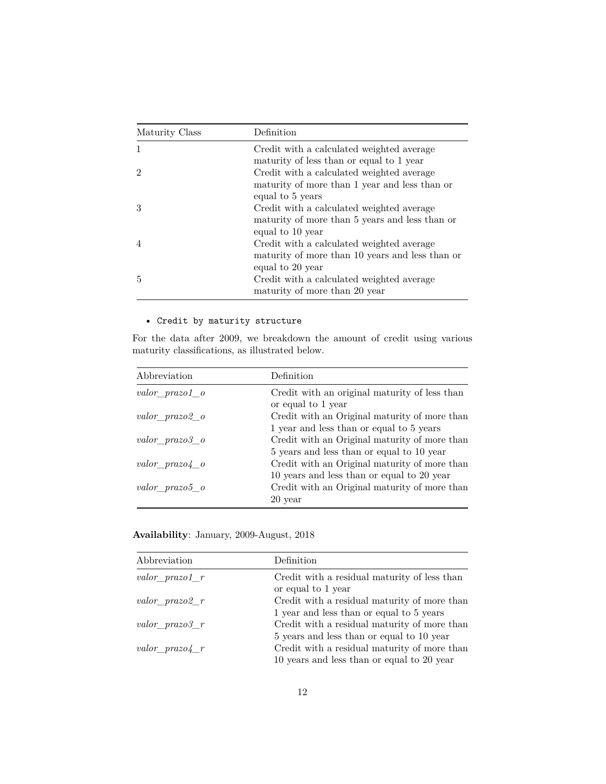| Maturity Class | Definition                                      |
|----------------|-------------------------------------------------|
| 1              | Credit with a calculated weighted average       |
|                | maturity of less than or equal to 1 year        |
| $\mathcal{D}$  | Credit with a calculated weighted average       |
|                | maturity of more than 1 year and less than or   |
|                | equal to 5 years                                |
| 3              | Credit with a calculated weighted average       |
|                | maturity of more than 5 years and less than or  |
|                | equal to 10 year                                |
| $\overline{4}$ | Credit with a calculated weighted average       |
|                | maturity of more than 10 years and less than or |
|                | equal to 20 year                                |
| 5              | Credit with a calculated weighted average       |
|                | maturity of more than 20 year                   |

### • Credit by maturity structure

For the data after 2009, we breakdown the amount of credit using various maturity classifications, as illustrated below.

| Abbreviation         | Definition                                    |
|----------------------|-----------------------------------------------|
| valor prazo1 o       | Credit with an original maturity of less than |
|                      | or equal to 1 year                            |
| $valor\_prazo2_o$    | Credit with an Original maturity of more than |
|                      | 1 year and less than or equal to 5 years      |
| $valor\_prazo3_o$    | Credit with an Original maturity of more than |
|                      | 5 years and less than or equal to 10 year     |
| $valor\_prazo4\_\ o$ | Credit with an Original maturity of more than |
|                      | 10 years and less than or equal to 20 year    |
| $valor\_prazo5_o$    | Credit with an Original maturity of more than |
|                      | 20 year                                       |

**Availability**: January, 2009-August, 2018

| Abbreviation     | Definition                                                                               |
|------------------|------------------------------------------------------------------------------------------|
| valor $prazo1$ r | Credit with a residual maturity of less than<br>or equal to 1 year                       |
| valor $prazo2$ r | Credit with a residual maturity of more than                                             |
| valor $prazo3$ r | 1 year and less than or equal to 5 years<br>Credit with a residual maturity of more than |
|                  | 5 years and less than or equal to 10 year                                                |
| valor $prazo4$ r | Credit with a residual maturity of more than                                             |
|                  | 10 years and less than or equal to 20 year                                               |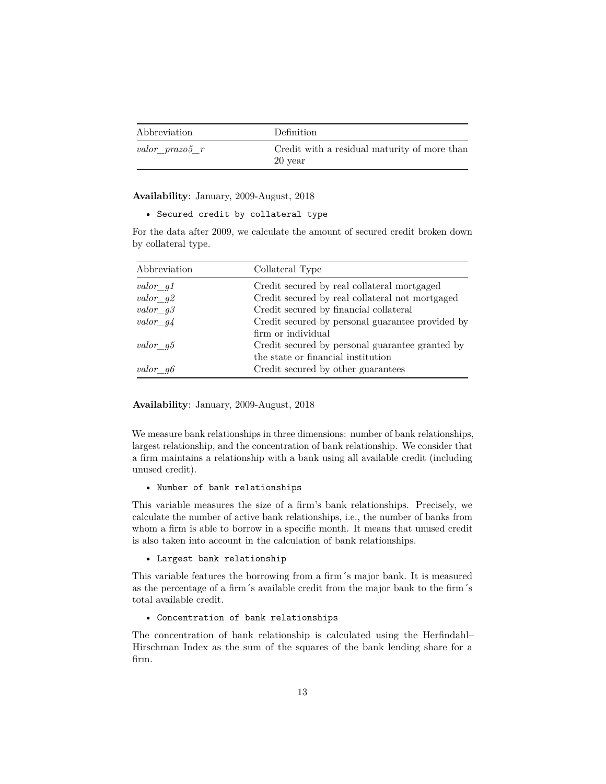| Abbreviation       | Definition                                              |
|--------------------|---------------------------------------------------------|
| $valor\_prazo5\_r$ | Credit with a residual maturity of more than<br>20 year |

**Availability**: January, 2009-August, 2018

```
• Secured credit by collateral type
```
For the data after 2009, we calculate the amount of secured credit broken down by collateral type.

| Abbreviation | Collateral Type                                  |
|--------------|--------------------------------------------------|
| $valor\_g1$  | Credit secured by real collateral mortgaged      |
| valor $q2$   | Credit secured by real collateral not mortgaged  |
| valor $q3$   | Credit secured by financial collateral           |
| $valor\_g4$  | Credit secured by personal guarantee provided by |
|              | firm or individual                               |
| valor $q5$   | Credit secured by personal guarantee granted by  |
|              | the state or financial institution               |
| valor $q6$   | Credit secured by other guarantees               |

**Availability**: January, 2009-August, 2018

We measure bank relationships in three dimensions: number of bank relationships, largest relationship, and the concentration of bank relationship. We consider that a firm maintains a relationship with a bank using all available credit (including unused credit).

• Number of bank relationships

This variable measures the size of a firm's bank relationships. Precisely, we calculate the number of active bank relationships, i.e., the number of banks from whom a firm is able to borrow in a specific month. It means that unused credit is also taken into account in the calculation of bank relationships.

#### • Largest bank relationship

This variable features the borrowing from a firm´s major bank. It is measured as the percentage of a firm´s available credit from the major bank to the firm´s total available credit.

#### • Concentration of bank relationships

The concentration of bank relationship is calculated using the Herfindahl– Hirschman Index as the sum of the squares of the bank lending share for a firm.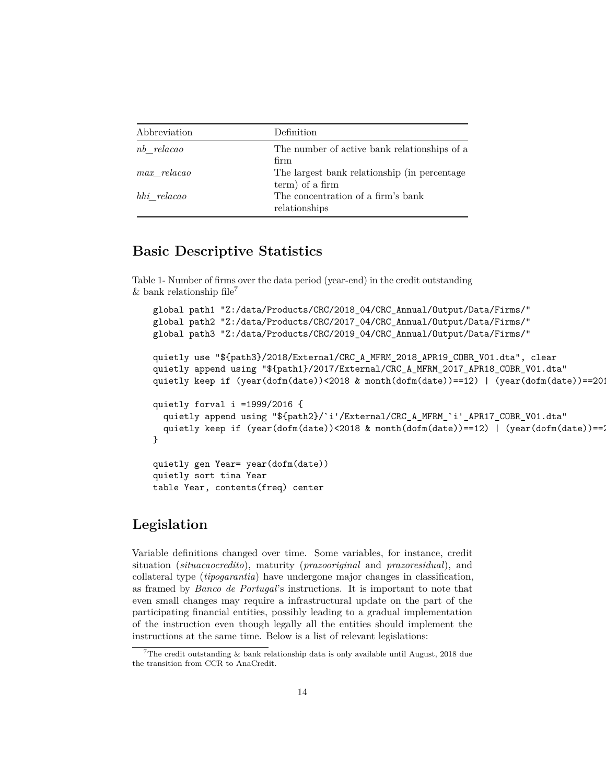| Abbreviation    | Definition                                                       |
|-----------------|------------------------------------------------------------------|
| nb relacao      | The number of active bank relationships of a<br>firm             |
| $max$ $relacao$ | The largest bank relationship (in percentage)<br>term) of a firm |
| hhi relacao     | The concentration of a firm's bank<br>relationships              |

### <span id="page-13-0"></span>**Basic Descriptive Statistics**

Table 1- Number of firms over the data period (year-end) in the credit outstanding  $&$  bank relationship file<sup>[7](#page-13-2)</sup>

```
global path1 "Z:/data/Products/CRC/2018_04/CRC_Annual/Output/Data/Firms/"
global path2 "Z:/data/Products/CRC/2017_04/CRC_Annual/Output/Data/Firms/"
global path3 "Z:/data/Products/CRC/2019_04/CRC_Annual/Output/Data/Firms/"
quietly use "${path3}/2018/External/CRC_A_MFRM_2018_APR19_COBR_V01.dta", clear
quietly append using "${path1}/2017/External/CRC_A_MFRM_2017_APR18_COBR_V01.dta"
quietly keep if (year(dofm(date))<2018 & month(dofm(date))==12) | (year(dofm(date))==2018
quietly forval i =1999/2016 {
  quietly append using "${path2}/`i'/External/CRC_A_MFRM_`i'_APR17_COBR_V01.dta"
  quietly keep if (year(dofm(date))<2018 & month(dofm(date))==12) | (year(dofm(date))==2
}
quietly gen Year= year(dofm(date))
quietly sort tina Year
table Year, contents(freq) center
```
### <span id="page-13-1"></span>**Legislation**

Variable definitions changed over time. Some variables, for instance, credit situation (*situacaocredito*), maturity (*prazooriginal* and *prazoresidual*), and collateral type (*tipogarantia*) have undergone major changes in classification, as framed by *Banco de Portugal*'s instructions. It is important to note that even small changes may require a infrastructural update on the part of the participating financial entities, possibly leading to a gradual implementation of the instruction even though legally all the entities should implement the instructions at the same time. Below is a list of relevant legislations:

<span id="page-13-2"></span><sup>&</sup>lt;sup>7</sup>The credit outstanding  $\&$  bank relationship data is only available until August, 2018 due the transition from CCR to AnaCredit.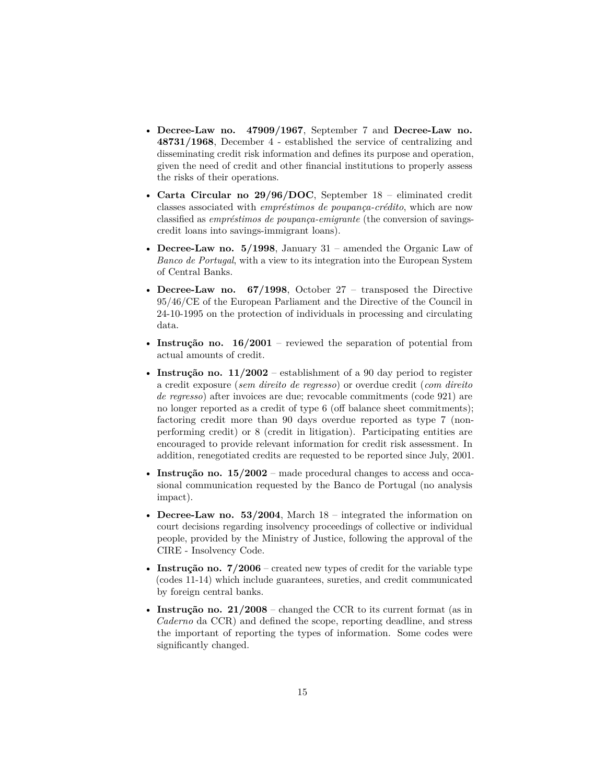- **[Decree-Law no. 47909/1967](#page-0-1)**, September 7 and **[Decree-Law no.](#page-0-1) [48731/1968](#page-0-1)**, December 4 - established the service of centralizing and disseminating credit risk information and defines its purpose and operation, given the need of credit and other financial institutions to properly assess the risks of their operations.
- **[Carta Circular no 29/96/DOC](#page-0-1)**, September 18 eliminated credit classes associated with *empréstimos de poupança-crédito*, which are now classified as *empréstimos de poupança-emigrante* (the conversion of savingscredit loans into savings-immigrant loans).
- **[Decree-Law no. 5/1998](#page-0-1)**, January 31 amended the Organic Law of *Banco de Portugal*, with a view to its integration into the European System of Central Banks.
- **[Decree-Law no. 67/1998](#page-0-1)**, October 27 transposed the Directive 95/46/CE of the European Parliament and the Directive of the Council in 24-10-1995 on the protection of individuals in processing and circulating data.
- **[Instrução no. 16/2001](#page-0-1)** reviewed the separation of potential from actual amounts of credit.
- **[Instrução no. 11/2002](#page-0-1)** establishment of a 90 day period to register a credit exposure (*sem direito de regresso*) or overdue credit (*com direito de regresso*) after invoices are due; revocable commitments (code 921) are no longer reported as a credit of type 6 (off balance sheet commitments); factoring credit more than 90 days overdue reported as type 7 (nonperforming credit) or 8 (credit in litigation). Participating entities are encouraged to provide relevant information for credit risk assessment. In addition, renegotiated credits are requested to be reported since July, 2001.
- **[Instrução no. 15/2002](#page-0-1)** made procedural changes to access and occasional communication requested by the Banco de Portugal (no analysis impact).
- **[Decree-Law no. 53/2004](#page-0-1)**, March 18 integrated the information on court decisions regarding insolvency proceedings of collective or individual people, provided by the Ministry of Justice, following the approval of the CIRE - Insolvency Code.
- **[Instrução no. 7/2006](#page-0-1)** created new types of credit for the variable type (codes 11-14) which include guarantees, sureties, and credit communicated by foreign central banks.
- **[Instrução no. 21/2008](#page-0-1)** changed the CCR to its current format (as in *Caderno* da CCR) and defined the scope, reporting deadline, and stress the important of reporting the types of information. Some codes were significantly changed.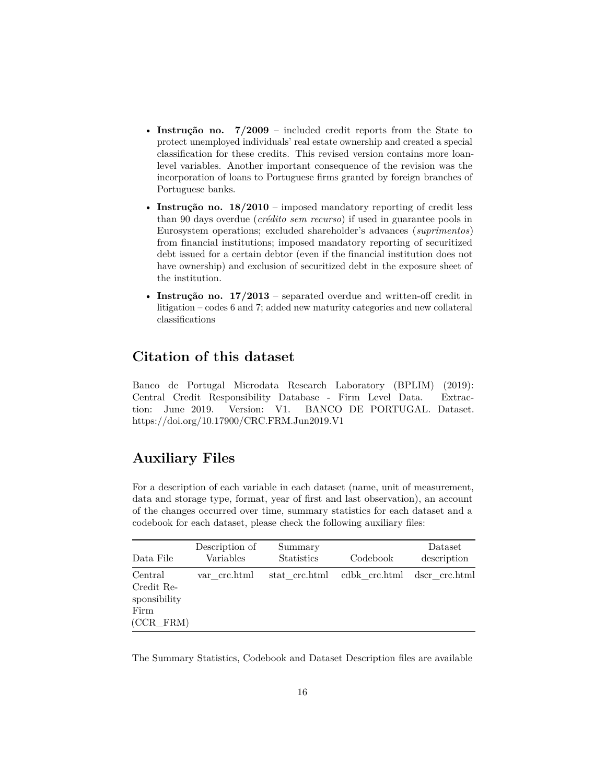- **Instrução no.** 7/2009 included credit reports from the State to protect unemployed individuals' real estate ownership and created a special classification for these credits. This revised version contains more loanlevel variables. Another important consequence of the revision was the incorporation of loans to Portuguese firms granted by foreign branches of Portuguese banks.
- **Instrução no.** 18/2010 imposed mandatory reporting of credit less than 90 days overdue (*crédito sem recurso*) if used in guarantee pools in Eurosystem operations; excluded shareholder's advances (*suprimentos*) from financial institutions; imposed mandatory reporting of securitized debt issued for a certain debtor (even if the financial institution does not have ownership) and exclusion of securitized debt in the exposure sheet of the institution.
- **Instrução no.** 17/2013 separated overdue and written-off credit in litigation – codes 6 and 7; added new maturity categories and new collateral classifications

### <span id="page-15-0"></span>**Citation of this dataset**

Banco de Portugal Microdata Research Laboratory (BPLIM) (2019): Central Credit Responsibility Database - Firm Level Data. Extraction: June 2019. Version: V1. BANCO DE PORTUGAL. Dataset. https://doi.org/10.17900/CRC.FRM.Jun2019.V1

### <span id="page-15-1"></span>**Auxiliary Files**

For a description of each variable in each dataset (name, unit of measurement, data and storage type, format, year of first and last observation), an account of the changes occurred over time, summary statistics for each dataset and a codebook for each dataset, please check the following auxiliary files:

| Data File                                                       | Description of<br>Variables | Summary<br><b>Statistics</b> | Codebook                    | Dataset<br>description |
|-----------------------------------------------------------------|-----------------------------|------------------------------|-----------------------------|------------------------|
| Central<br>Credit Re-<br>sponsibility<br>Firm<br>$(CCR$ FRM $)$ | var crc.html                | stat crc.html                | cdbk crc.html dscr crc.html |                        |

The Summary Statistics, Codebook and Dataset Description files are available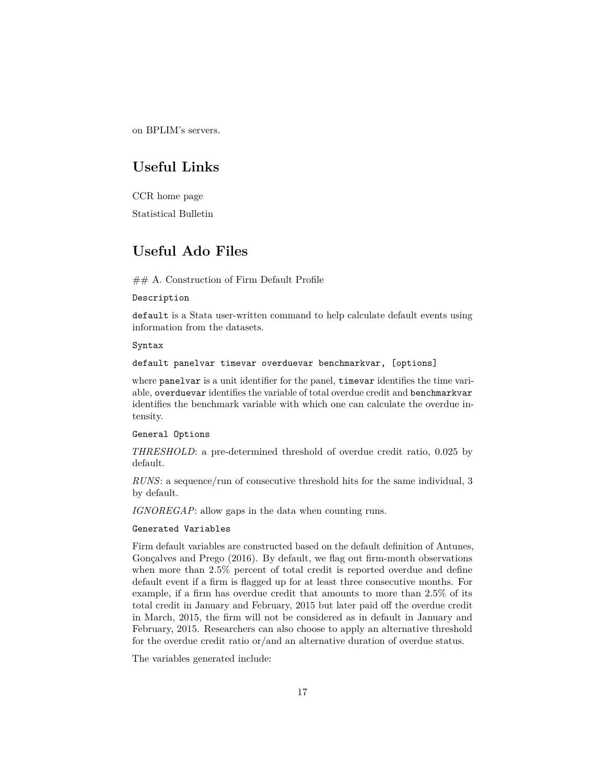<span id="page-16-0"></span>on BPLIM's servers.

# **Useful Links**

<span id="page-16-1"></span>[CCR home page](https://www.bportugal.pt/area-cidadao/formulario/227) [Statistical Bulletin](https://www.bportugal.pt/en/publicacao/statistical-bulletin)

## **Useful Ado Files**

 $\#\#$  A. Construction of Firm Default Profile

Description

default is a Stata user-written command to help calculate default events using information from the datasets.

Syntax

default panelvar timevar overduevar benchmarkvar, [options]

where panelvar is a unit identifier for the panel, timevar identifies the time variable, overduevar identifies the variable of total overdue credit and benchmarkvar identifies the benchmark variable with which one can calculate the overdue intensity.

General Options

*THRESHOLD*: a pre-determined threshold of overdue credit ratio, 0.025 by default.

*RUNS*: a sequence/run of consecutive threshold hits for the same individual, 3 by default.

*IGNOREGAP*: allow gaps in the data when counting runs.

#### Generated Variables

Firm default variables are constructed based on the default definition of Antunes, Gonçalves and Prego (2016). By default, we flag out firm-month observations when more than 2.5% percent of total credit is reported overdue and define default event if a firm is flagged up for at least three consecutive months. For example, if a firm has overdue credit that amounts to more than 2.5% of its total credit in January and February, 2015 but later paid off the overdue credit in March, 2015, the firm will not be considered as in default in January and February, 2015. Researchers can also choose to apply an alternative threshold for the overdue credit ratio or/and an alternative duration of overdue status.

The variables generated include: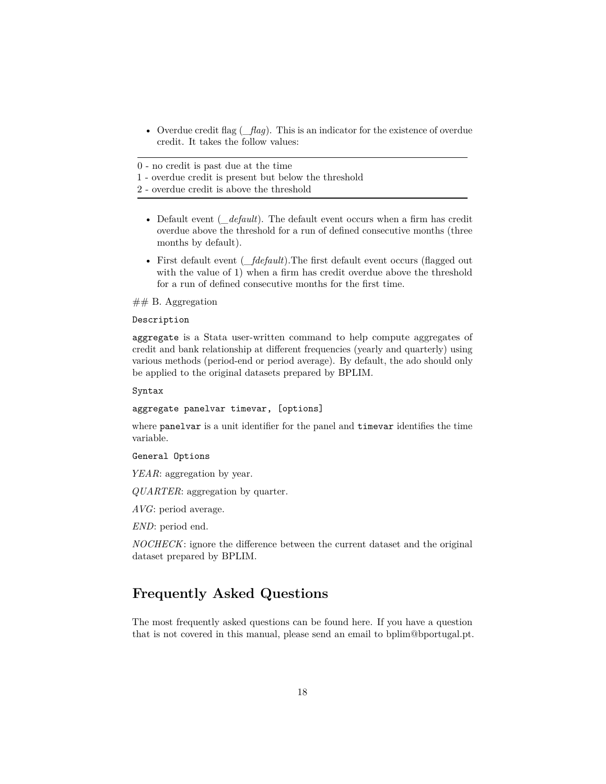• Overdue credit flag (*\_flag*). This is an indicator for the existence of overdue credit. It takes the follow values:

0 - no credit is past due at the time

1 - overdue credit is present but below the threshold

2 - overdue credit is above the threshold

- Default event (*default*). The default event occurs when a firm has credit overdue above the threshold for a run of defined consecutive months (three months by default).
- First default event (*\_fdefault*). The first default event occurs (flagged out with the value of 1) when a firm has credit overdue above the threshold for a run of defined consecutive months for the first time.

#### $## B.$  Aggregation

#### Description

aggregate is a Stata user-written command to help compute aggregates of credit and bank relationship at different frequencies (yearly and quarterly) using various methods (period-end or period average). By default, the ado should only be applied to the original datasets prepared by BPLIM.

Syntax

aggregate panelvar timevar, [options]

where **panelvar** is a unit identifier for the panel and **timevar** identifies the time variable.

General Options

*YEAR*: aggregation by year.

*QUARTER*: aggregation by quarter.

*AVG*: period average.

*END*: period end.

<span id="page-17-0"></span>*NOCHECK*: ignore the difference between the current dataset and the original dataset prepared by BPLIM.

### **Frequently Asked Questions**

<span id="page-17-1"></span>The most frequently asked questions can be found [here.](https://www.bportugal.pt/perguntas-frequentes/276) If you have a question that is not covered in this manual, please send an email to bplim@bportugal.pt.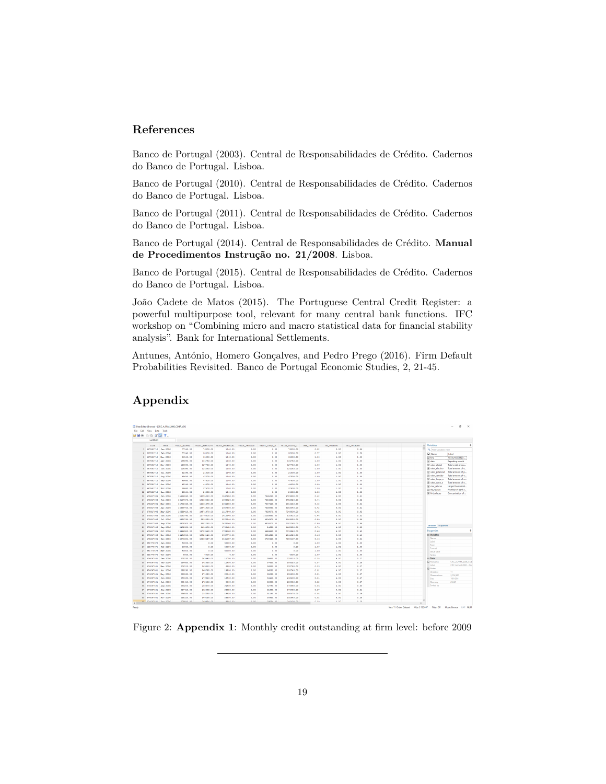### **References**

Banco de Portugal (2003). Central de Responsabilidades de Crédito. Cadernos do Banco de Portugal. Lisboa.

Banco de Portugal (2010). Central de Responsabilidades de Crédito. Cadernos do Banco de Portugal. Lisboa.

Banco de Portugal (2011). Central de Responsabilidades de Crédito. Cadernos do Banco de Portugal. Lisboa.

Banco de Portugal (2014). Central de Responsabilidades de Crédito. **[Manual](#page-0-1) [de Procedimentos Instrução no. 21/2008](#page-0-1)**. Lisboa.

Banco de Portugal (2015). Central de Responsabilidades de Crédito. Cadernos do Banco de Portugal. Lisboa.

João Cadete de Matos (2015). The Portuguese Central Credit Register: a powerful multipurpose tool, relevant for many central bank functions. IFC workshop on "Combining micro and macro statistical data for financial stability analysis". Bank for International Settlements.

<span id="page-18-0"></span>Antunes, António, Homero Gonçalves, and Pedro Prego (2016). Firm Default Probabilities Revisited. Banco de Portugal Economic Studies, 2, 21-45.

### **Appendix**



Figure 2: **Appendix 1**: Monthly credit outstanding at firm level: before 2009